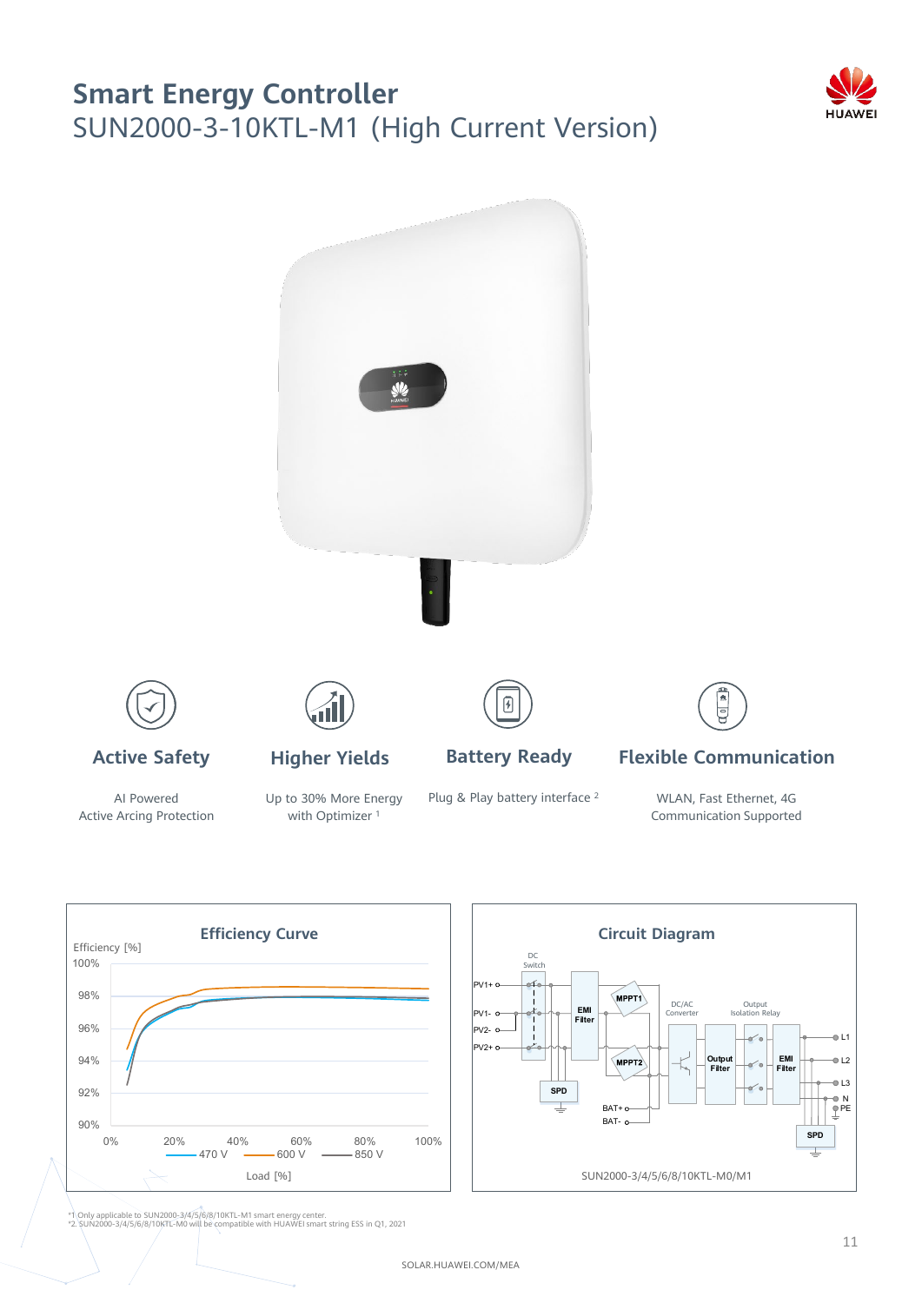## **Smart Energy Controller** SUN2000-3-10KTL-M1 (High Current Version)





Active Arcing Protection

with Optimizer<sup>1</sup>

Communication Supported



\*1 Only applicable to SUN2000-3/4/5/6/8/10KTL-M1 smart energy center. \*2. SUN2000-3/4/5/6/8/10KTL-M0 will be compatible with HUAWEI smart string ESS in Q1, 2021